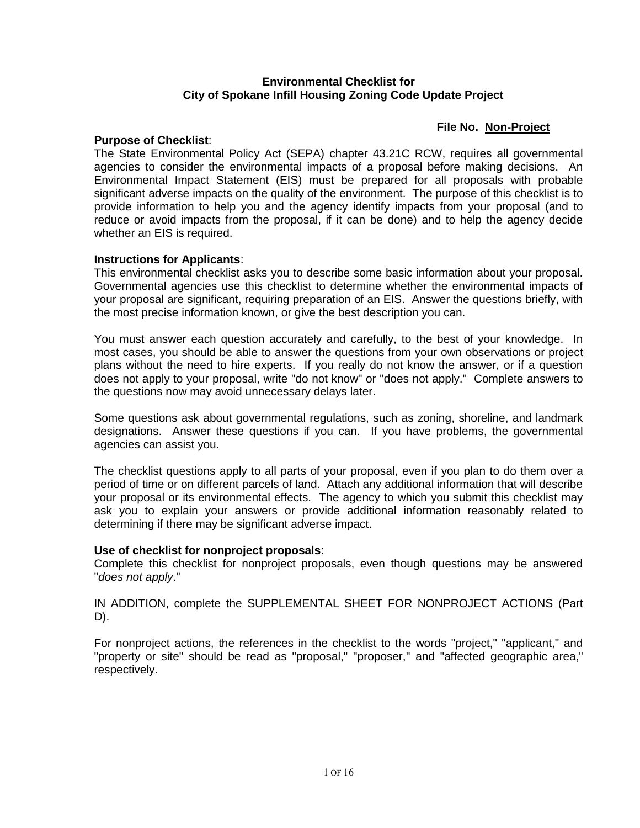#### **Environmental Checklist for City of Spokane Infill Housing Zoning Code Update Project**

# **File No. Non-Project**

#### **Purpose of Checklist**:

The State Environmental Policy Act (SEPA) chapter 43.21C RCW, requires all governmental agencies to consider the environmental impacts of a proposal before making decisions. An Environmental Impact Statement (EIS) must be prepared for all proposals with probable significant adverse impacts on the quality of the environment. The purpose of this checklist is to provide information to help you and the agency identify impacts from your proposal (and to reduce or avoid impacts from the proposal, if it can be done) and to help the agency decide whether an EIS is required.

# **Instructions for Applicants**:

This environmental checklist asks you to describe some basic information about your proposal. Governmental agencies use this checklist to determine whether the environmental impacts of your proposal are significant, requiring preparation of an EIS. Answer the questions briefly, with the most precise information known, or give the best description you can.

You must answer each question accurately and carefully, to the best of your knowledge. In most cases, you should be able to answer the questions from your own observations or project plans without the need to hire experts. If you really do not know the answer, or if a question does not apply to your proposal, write "do not know" or "does not apply." Complete answers to the questions now may avoid unnecessary delays later.

Some questions ask about governmental regulations, such as zoning, shoreline, and landmark designations. Answer these questions if you can. If you have problems, the governmental agencies can assist you.

The checklist questions apply to all parts of your proposal, even if you plan to do them over a period of time or on different parcels of land. Attach any additional information that will describe your proposal or its environmental effects. The agency to which you submit this checklist may ask you to explain your answers or provide additional information reasonably related to determining if there may be significant adverse impact.

#### **Use of checklist for nonproject proposals**:

Complete this checklist for nonproject proposals, even though questions may be answered "*does not apply*."

IN ADDITION, complete the SUPPLEMENTAL SHEET FOR NONPROJECT ACTIONS (Part D).

For nonproject actions, the references in the checklist to the words "project," "applicant," and "property or site" should be read as "proposal," "proposer," and "affected geographic area," respectively.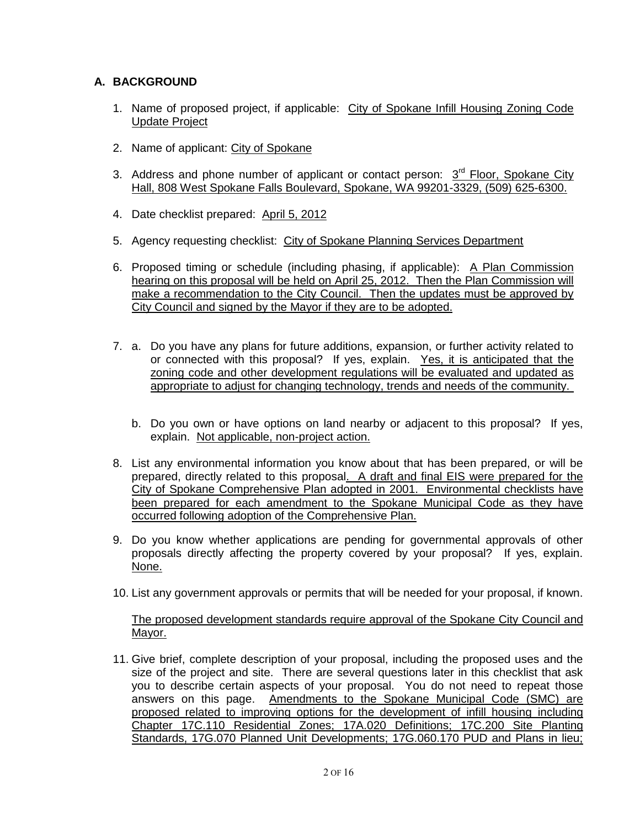# **A. BACKGROUND**

- 1. Name of proposed project, if applicable: City of Spokane Infill Housing Zoning Code Update Project
- 2. Name of applicant: City of Spokane
- 3. Address and phone number of applicant or contact person: 3<sup>rd</sup> Floor, Spokane City Hall, 808 West Spokane Falls Boulevard, Spokane, WA 99201-3329, (509) 625-6300.
- 4. Date checklist prepared: April 5, 2012
- 5. Agency requesting checklist: City of Spokane Planning Services Department
- 6. Proposed timing or schedule (including phasing, if applicable): A Plan Commission hearing on this proposal will be held on April 25, 2012. Then the Plan Commission will make a recommendation to the City Council. Then the updates must be approved by City Council and signed by the Mayor if they are to be adopted.
- 7. a. Do you have any plans for future additions, expansion, or further activity related to or connected with this proposal? If yes, explain. Yes, it is anticipated that the zoning code and other development regulations will be evaluated and updated as appropriate to adjust for changing technology, trends and needs of the community.
	- b. Do you own or have options on land nearby or adjacent to this proposal? If yes, explain. Not applicable, non-project action.
- 8. List any environmental information you know about that has been prepared, or will be prepared, directly related to this proposal. A draft and final EIS were prepared for the City of Spokane Comprehensive Plan adopted in 2001. Environmental checklists have been prepared for each amendment to the Spokane Municipal Code as they have occurred following adoption of the Comprehensive Plan.
- 9. Do you know whether applications are pending for governmental approvals of other proposals directly affecting the property covered by your proposal? If yes, explain. None.
- 10. List any government approvals or permits that will be needed for your proposal, if known.

The proposed development standards require approval of the Spokane City Council and Mayor.

11. Give brief, complete description of your proposal, including the proposed uses and the size of the project and site. There are several questions later in this checklist that ask you to describe certain aspects of your proposal. You do not need to repeat those answers on this page. Amendments to the Spokane Municipal Code (SMC) are proposed related to improving options for the development of infill housing including Chapter 17C.110 Residential Zones; 17A.020 Definitions; 17C.200 Site Planting Standards, 17G.070 Planned Unit Developments; 17G.060.170 PUD and Plans in lieu;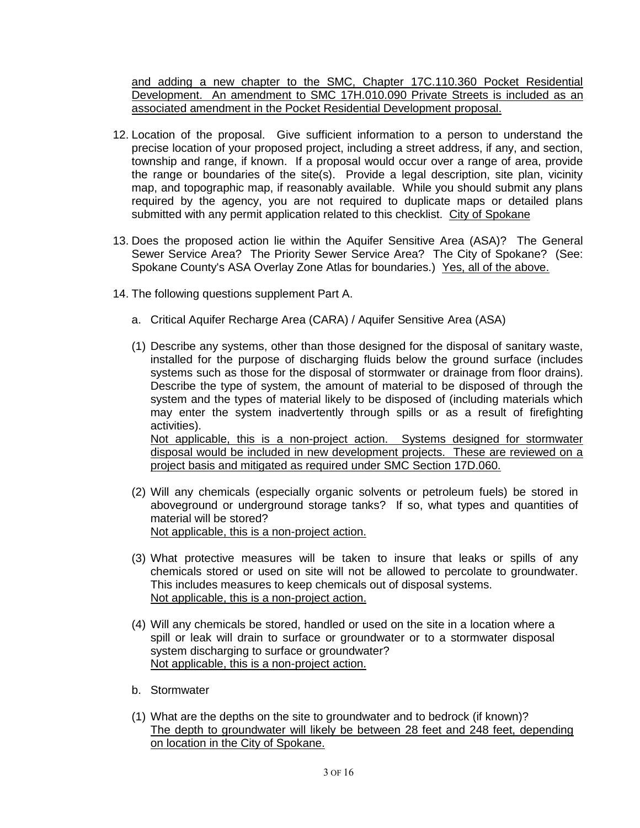and adding a new chapter to the SMC, Chapter 17C.110.360 Pocket Residential Development. An amendment to SMC 17H.010.090 Private Streets is included as an associated amendment in the Pocket Residential Development proposal.

- 12. Location of the proposal. Give sufficient information to a person to understand the precise location of your proposed project, including a street address, if any, and section, township and range, if known. If a proposal would occur over a range of area, provide the range or boundaries of the site(s). Provide a legal description, site plan, vicinity map, and topographic map, if reasonably available. While you should submit any plans required by the agency, you are not required to duplicate maps or detailed plans submitted with any permit application related to this checklist. City of Spokane
- 13. Does the proposed action lie within the Aquifer Sensitive Area (ASA)? The General Sewer Service Area? The Priority Sewer Service Area? The City of Spokane? (See: Spokane County's ASA Overlay Zone Atlas for boundaries.) Yes, all of the above.
- 14. The following questions supplement Part A.
	- a. Critical Aquifer Recharge Area (CARA) / Aquifer Sensitive Area (ASA)
	- (1) Describe any systems, other than those designed for the disposal of sanitary waste, installed for the purpose of discharging fluids below the ground surface (includes systems such as those for the disposal of stormwater or drainage from floor drains). Describe the type of system, the amount of material to be disposed of through the system and the types of material likely to be disposed of (including materials which may enter the system inadvertently through spills or as a result of firefighting activities). Not applicable, this is a non-project action. Systems designed for stormwater

disposal would be included in new development projects. These are reviewed on a project basis and mitigated as required under SMC Section 17D.060.

- (2) Will any chemicals (especially organic solvents or petroleum fuels) be stored in aboveground or underground storage tanks? If so, what types and quantities of material will be stored? Not applicable, this is a non-project action.
- (3) What protective measures will be taken to insure that leaks or spills of any chemicals stored or used on site will not be allowed to percolate to groundwater. This includes measures to keep chemicals out of disposal systems. Not applicable, this is a non-project action.
- (4) Will any chemicals be stored, handled or used on the site in a location where a spill or leak will drain to surface or groundwater or to a stormwater disposal system discharging to surface or groundwater? Not applicable, this is a non-project action.
- b. Stormwater
- (1) What are the depths on the site to groundwater and to bedrock (if known)? The depth to groundwater will likely be between 28 feet and 248 feet, depending on location in the City of Spokane.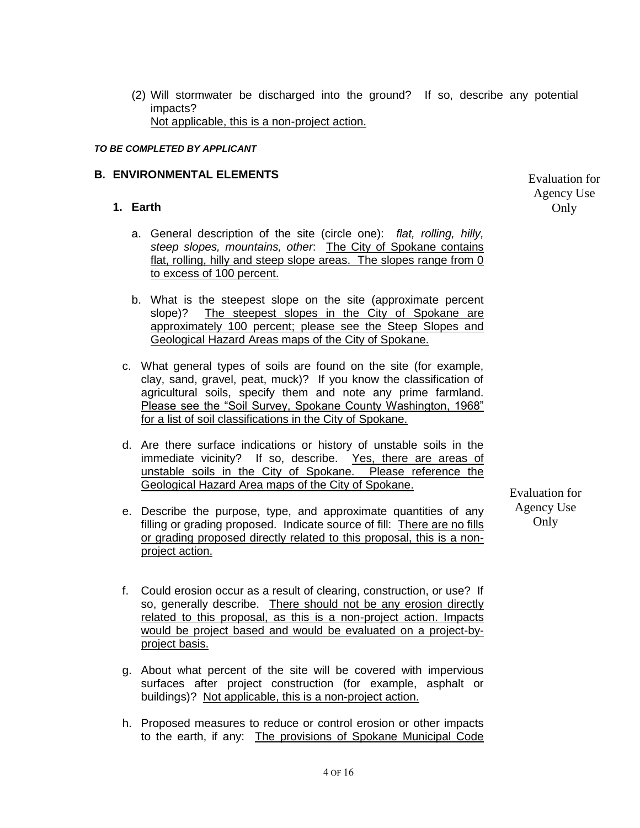(2) Will stormwater be discharged into the ground? If so, describe any potential impacts? Not applicable, this is a non-project action.

#### *TO BE COMPLETED BY APPLICANT*

#### **B. ENVIRONMENTAL ELEMENTS**

#### **1. Earth**

- a. General description of the site (circle one): *flat, rolling, hilly, steep slopes, mountains, other*: The City of Spokane contains flat, rolling, hilly and steep slope areas. The slopes range from 0 to excess of 100 percent.
- b. What is the steepest slope on the site (approximate percent slope)? The steepest slopes in the City of Spokane are approximately 100 percent; please see the Steep Slopes and Geological Hazard Areas maps of the City of Spokane.
- c. What general types of soils are found on the site (for example, clay, sand, gravel, peat, muck)? If you know the classification of agricultural soils, specify them and note any prime farmland. Please see the "Soil Survey, Spokane County Washington, 1968" for a list of soil classifications in the City of Spokane.
- d. Are there surface indications or history of unstable soils in the immediate vicinity? If so, describe. Yes, there are areas of unstable soils in the City of Spokane. Please reference the Geological Hazard Area maps of the City of Spokane.
- e. Describe the purpose, type, and approximate quantities of any filling or grading proposed. Indicate source of fill: There are no fills or grading proposed directly related to this proposal, this is a nonproject action.

Evaluation for Agency Use Only

- f. Could erosion occur as a result of clearing, construction, or use? If so, generally describe. There should not be any erosion directly related to this proposal, as this is a non-project action. Impacts would be project based and would be evaluated on a project-byproject basis.
- g. About what percent of the site will be covered with impervious surfaces after project construction (for example, asphalt or buildings)? Not applicable, this is a non-project action.
- h. Proposed measures to reduce or control erosion or other impacts to the earth, if any: The provisions of Spokane Municipal Code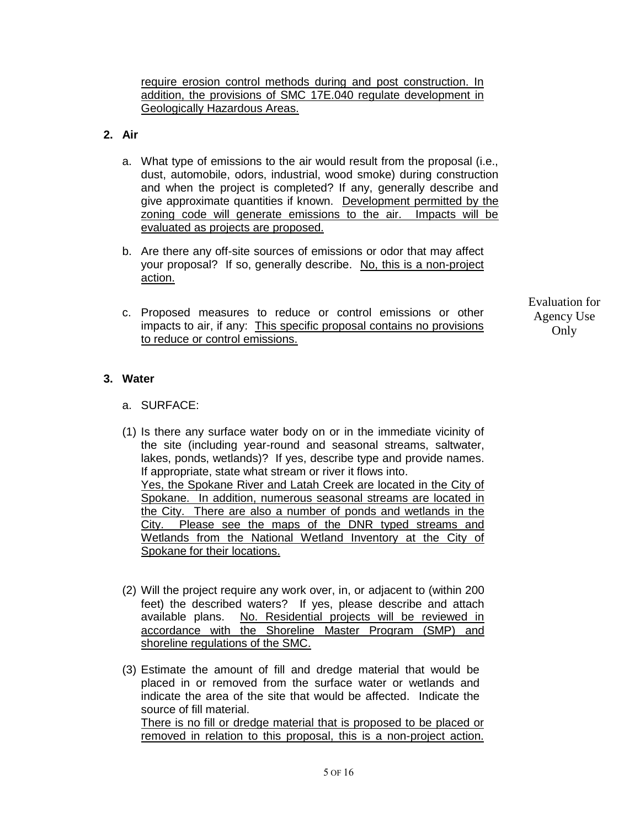require erosion control methods during and post construction. In addition, the provisions of SMC 17E.040 regulate development in Geologically Hazardous Areas.

# **2. Air**

- a. What type of emissions to the air would result from the proposal (i.e., dust, automobile, odors, industrial, wood smoke) during construction and when the project is completed? If any, generally describe and give approximate quantities if known. Development permitted by the zoning code will generate emissions to the air. Impacts will be evaluated as projects are proposed.
- b. Are there any off-site sources of emissions or odor that may affect your proposal? If so, generally describe. No, this is a non-project action.
- c. Proposed measures to reduce or control emissions or other impacts to air, if any: This specific proposal contains no provisions to reduce or control emissions.

Evaluation for Agency Use **Only** 

# **3. Water**

- a. SURFACE:
- (1) Is there any surface water body on or in the immediate vicinity of the site (including year-round and seasonal streams, saltwater, lakes, ponds, wetlands)? If yes, describe type and provide names. If appropriate, state what stream or river it flows into. Yes, the Spokane River and Latah Creek are located in the City of Spokane. In addition, numerous seasonal streams are located in the City. There are also a number of ponds and wetlands in the City. Please see the maps of the DNR typed streams and Wetlands from the National Wetland Inventory at the City of Spokane for their locations.
- (2) Will the project require any work over, in, or adjacent to (within 200 feet) the described waters? If yes, please describe and attach available plans. No. Residential projects will be reviewed in accordance with the Shoreline Master Program (SMP) and shoreline regulations of the SMC.
- (3) Estimate the amount of fill and dredge material that would be placed in or removed from the surface water or wetlands and indicate the area of the site that would be affected. Indicate the source of fill material. There is no fill or dredge material that is proposed to be placed or removed in relation to this proposal, this is a non-project action.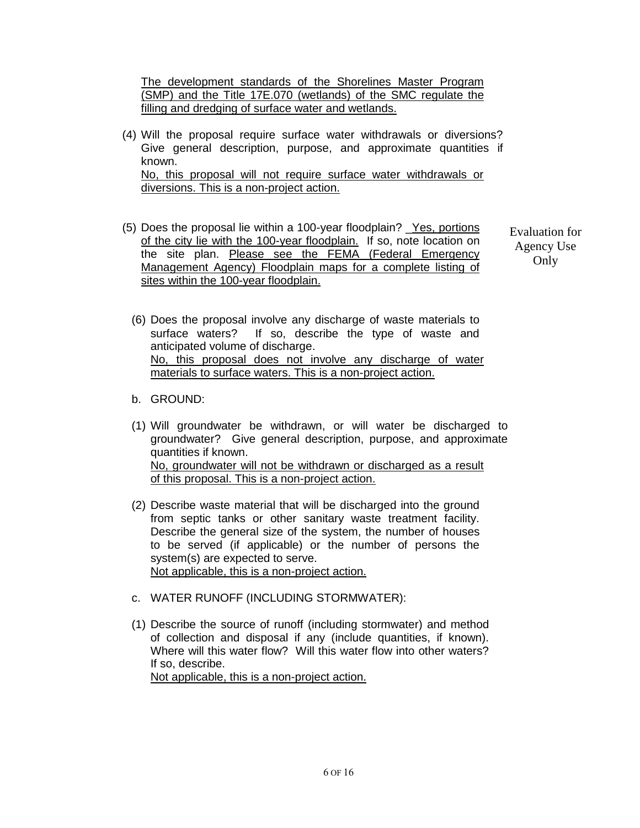The development standards of the Shorelines Master Program (SMP) and the Title 17E.070 (wetlands) of the SMC regulate the filling and dredging of surface water and wetlands.

- (4) Will the proposal require surface water withdrawals or diversions? Give general description, purpose, and approximate quantities if known. No, this proposal will not require surface water withdrawals or diversions. This is a non-project action.
- (5) Does the proposal lie within a 100-year floodplain? \_Yes, portions of the city lie with the 100-year floodplain. If so, note location on the site plan. Please see the FEMA (Federal Emergency Management Agency) Floodplain maps for a complete listing of sites within the 100-year floodplain.

- (6) Does the proposal involve any discharge of waste materials to surface waters? If so, describe the type of waste and anticipated volume of discharge. No, this proposal does not involve any discharge of water materials to surface waters. This is a non-project action.
- b. GROUND:
- (1) Will groundwater be withdrawn, or will water be discharged to groundwater? Give general description, purpose, and approximate quantities if known. No, groundwater will not be withdrawn or discharged as a result of this proposal. This is a non-project action.
- (2) Describe waste material that will be discharged into the ground from septic tanks or other sanitary waste treatment facility. Describe the general size of the system, the number of houses to be served (if applicable) or the number of persons the system(s) are expected to serve. Not applicable, this is a non-project action.
- c. WATER RUNOFF (INCLUDING STORMWATER):
- (1) Describe the source of runoff (including stormwater) and method of collection and disposal if any (include quantities, if known). Where will this water flow? Will this water flow into other waters? If so, describe. Not applicable, this is a non-project action.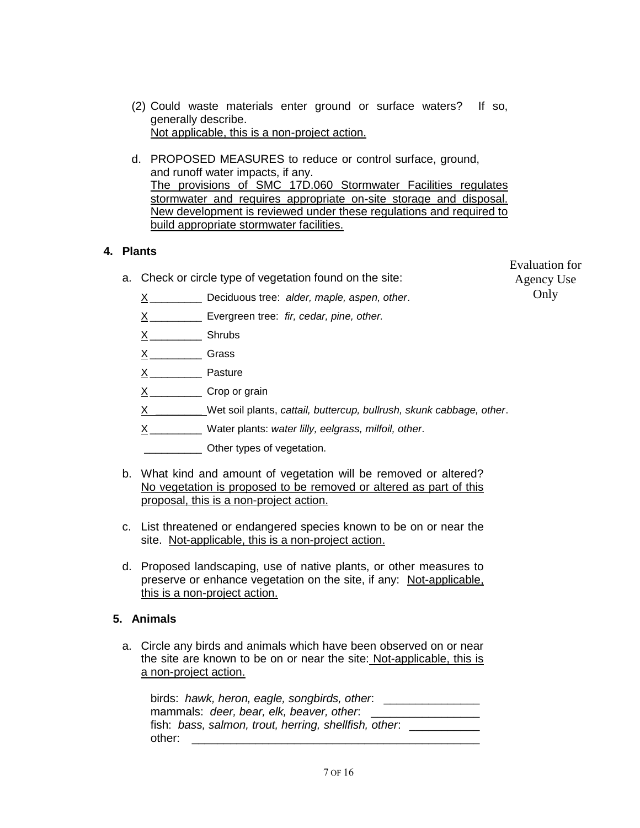- (2) Could waste materials enter ground or surface waters? If so, generally describe. Not applicable, this is a non-project action.
- d. PROPOSED MEASURES to reduce or control surface, ground, and runoff water impacts, if any. The provisions of SMC 17D.060 Stormwater Facilities regulates stormwater and requires appropriate on-site storage and disposal. New development is reviewed under these regulations and required to build appropriate stormwater facilities.

# **4. Plants**

a. Check or circle type of vegetation found on the site:

Evaluation for Agency Use Only

- X \_\_\_\_\_\_\_\_\_ Deciduous tree: *alder, maple, aspen, other*.
- X \_\_\_\_\_\_\_\_\_ Evergreen tree: *fir, cedar, pine, other.*
- $X$ <sub>\_\_\_\_\_\_\_\_\_\_</sub> Shrubs
- X \_\_\_\_\_\_\_\_\_ Grass
- $X$ <sub>\_\_\_\_\_\_\_\_\_\_\_</sub> Pasture
- X \_\_\_\_\_\_\_\_\_ Crop or grain
- X \_\_\_\_\_\_\_\_ Wet soil plants, *cattail, buttercup, bullrush, skunk cabbage, other*.
- X \_\_\_\_\_\_\_\_\_ Water plants: *water lilly, eelgrass, milfoil, other*.
- \_\_\_\_\_\_\_\_\_\_ Other types of vegetation.
- b. What kind and amount of vegetation will be removed or altered? No vegetation is proposed to be removed or altered as part of this proposal, this is a non-project action.
- c. List threatened or endangered species known to be on or near the site. Not-applicable, this is a non-project action.
- d. Proposed landscaping, use of native plants, or other measures to preserve or enhance vegetation on the site, if any: Not-applicable, this is a non-project action.

# **5. Animals**

a. Circle any birds and animals which have been observed on or near the site are known to be on or near the site: Not-applicable, this is a non-project action.

| birds: hawk, heron, eagle, songbirds, other.          |  |  |  |
|-------------------------------------------------------|--|--|--|
| mammals: deer, bear, elk, beaver, other.              |  |  |  |
| fish: bass, salmon, trout, herring, shellfish, other. |  |  |  |
| other:                                                |  |  |  |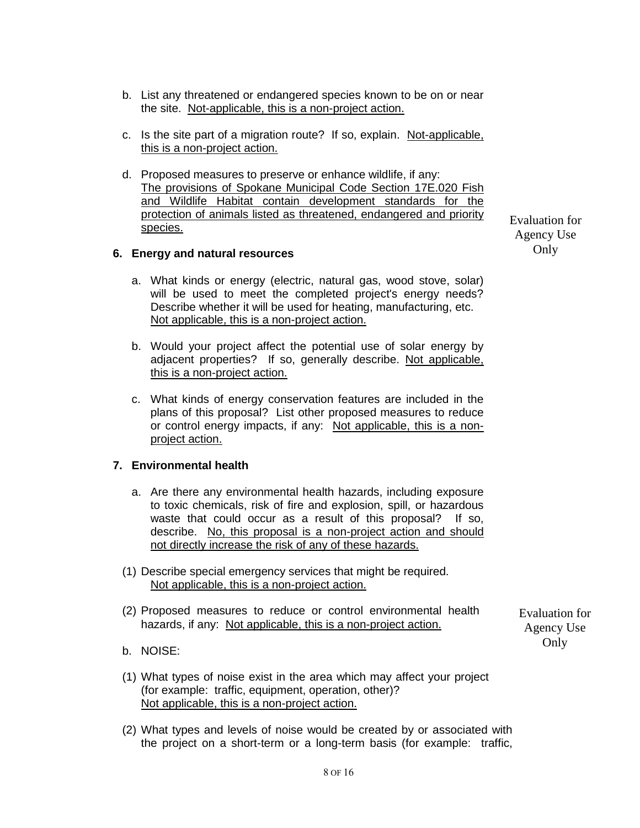- b. List any threatened or endangered species known to be on or near the site. Not-applicable, this is a non-project action.
- c. Is the site part of a migration route? If so, explain. Not-applicable, this is a non-project action.
- d. Proposed measures to preserve or enhance wildlife, if any: The provisions of Spokane Municipal Code Section 17E.020 Fish and Wildlife Habitat contain development standards for the protection of animals listed as threatened, endangered and priority species.

#### **6. Energy and natural resources**

- a. What kinds or energy (electric, natural gas, wood stove, solar) will be used to meet the completed project's energy needs? Describe whether it will be used for heating, manufacturing, etc. Not applicable, this is a non-project action.
- b. Would your project affect the potential use of solar energy by adjacent properties? If so, generally describe. Not applicable, this is a non-project action.
- c. What kinds of energy conservation features are included in the plans of this proposal? List other proposed measures to reduce or control energy impacts, if any: Not applicable, this is a nonproject action.

#### **7. Environmental health**

- a. Are there any environmental health hazards, including exposure to toxic chemicals, risk of fire and explosion, spill, or hazardous waste that could occur as a result of this proposal? If so, describe. No, this proposal is a non-project action and should not directly increase the risk of any of these hazards.
- (1) Describe special emergency services that might be required. Not applicable, this is a non-project action.
- (2) Proposed measures to reduce or control environmental health hazards, if any: Not applicable, this is a non-project action.

Evaluation for Agency Use Only

- b. NOISE:
- (1) What types of noise exist in the area which may affect your project (for example: traffic, equipment, operation, other)? Not applicable, this is a non-project action.
- (2) What types and levels of noise would be created by or associated with the project on a short-term or a long-term basis (for example: traffic,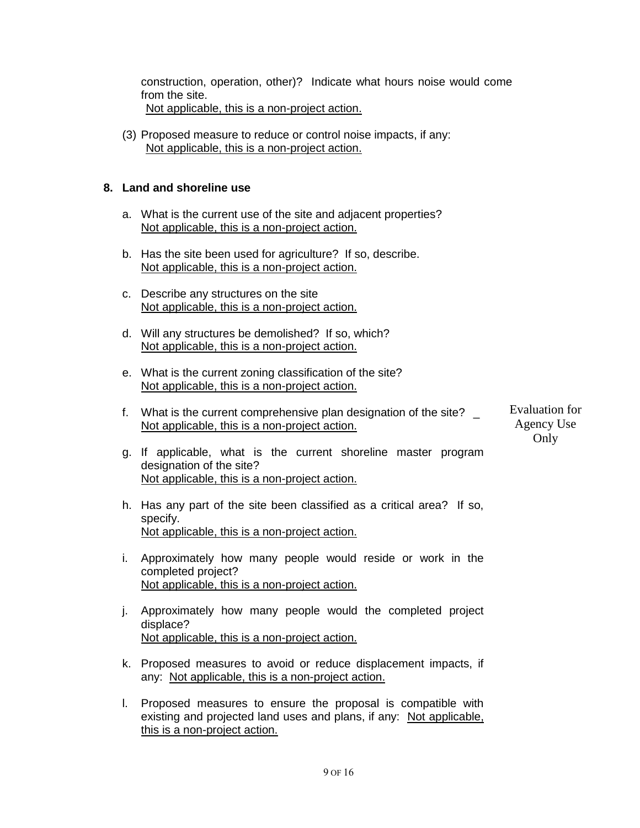construction, operation, other)? Indicate what hours noise would come from the site. Not applicable, this is a non-project action.

(3) Proposed measure to reduce or control noise impacts, if any: Not applicable, this is a non-project action.

# **8. Land and shoreline use**

- a. What is the current use of the site and adjacent properties? Not applicable, this is a non-project action.
- b. Has the site been used for agriculture? If so, describe. Not applicable, this is a non-project action.
- c. Describe any structures on the site Not applicable, this is a non-project action.
- d. Will any structures be demolished? If so, which? Not applicable, this is a non-project action.
- e. What is the current zoning classification of the site? Not applicable, this is a non-project action.
- f. What is the current comprehensive plan designation of the site? Not applicable, this is a non-project action. Evaluation for Agency Use

Only

- g. If applicable, what is the current shoreline master program designation of the site? Not applicable, this is a non-project action.
- h. Has any part of the site been classified as a critical area? If so, specify. Not applicable, this is a non-project action.
- i. Approximately how many people would reside or work in the completed project? Not applicable, this is a non-project action.
- j. Approximately how many people would the completed project displace? Not applicable, this is a non-project action.
- k. Proposed measures to avoid or reduce displacement impacts, if any: Not applicable, this is a non-project action.
- l. Proposed measures to ensure the proposal is compatible with existing and projected land uses and plans, if any: Not applicable, this is a non-project action.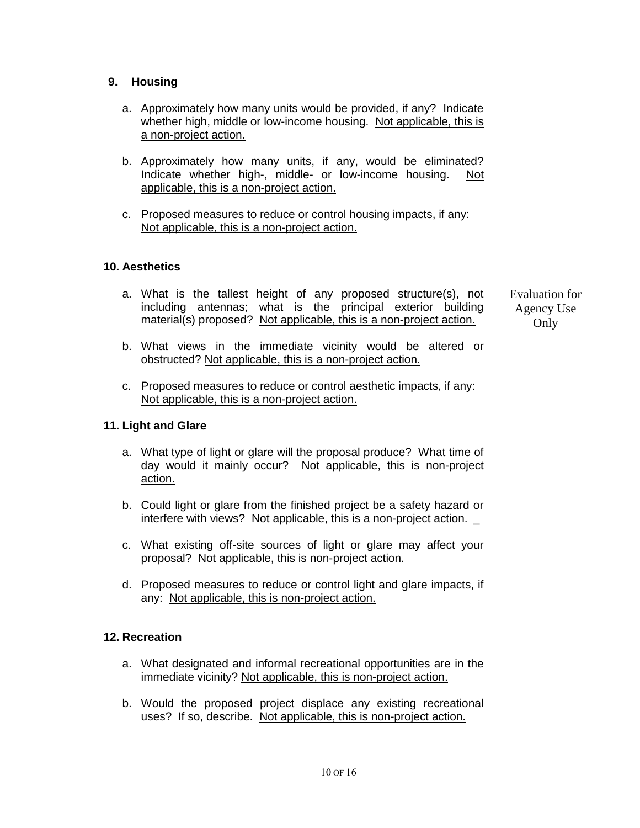# **9. Housing**

- a. Approximately how many units would be provided, if any? Indicate whether high, middle or low-income housing. Not applicable, this is a non-project action.
- b. Approximately how many units, if any, would be eliminated? Indicate whether high-, middle- or low-income housing. Not applicable, this is a non-project action.
- c. Proposed measures to reduce or control housing impacts, if any: Not applicable, this is a non-project action.

# **10. Aesthetics**

- a. What is the tallest height of any proposed structure(s), not including antennas; what is the principal exterior building material(s) proposed? Not applicable, this is a non-project action.
- b. What views in the immediate vicinity would be altered or obstructed? Not applicable, this is a non-project action.
- c. Proposed measures to reduce or control aesthetic impacts, if any: Not applicable, this is a non-project action.

# **11. Light and Glare**

- a. What type of light or glare will the proposal produce? What time of day would it mainly occur? Not applicable, this is non-project action.
- b. Could light or glare from the finished project be a safety hazard or interfere with views? Not applicable, this is a non-project action. \_
- c. What existing off-site sources of light or glare may affect your proposal? Not applicable, this is non-project action.
- d. Proposed measures to reduce or control light and glare impacts, if any: Not applicable, this is non-project action.

# **12. Recreation**

- a. What designated and informal recreational opportunities are in the immediate vicinity? Not applicable, this is non-project action.
- b. Would the proposed project displace any existing recreational uses? If so, describe. Not applicable, this is non-project action.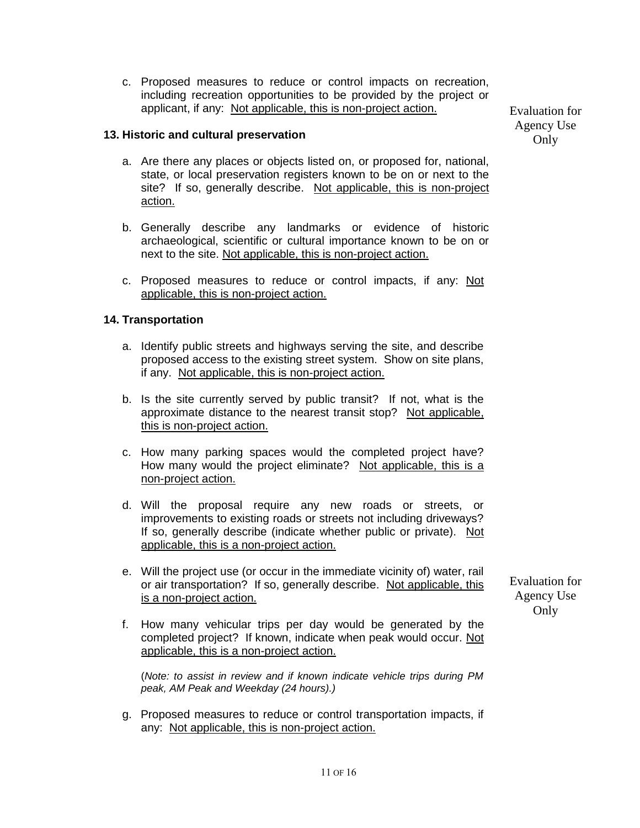c. Proposed measures to reduce or control impacts on recreation, including recreation opportunities to be provided by the project or applicant, if any: Not applicable, this is non-project action.

#### **13. Historic and cultural preservation**

- a. Are there any places or objects listed on, or proposed for, national, state, or local preservation registers known to be on or next to the site? If so, generally describe. Not applicable, this is non-project action.
- b. Generally describe any landmarks or evidence of historic archaeological, scientific or cultural importance known to be on or next to the site. Not applicable, this is non-project action.
- c. Proposed measures to reduce or control impacts, if any: Not applicable, this is non-project action.

# **14. Transportation**

- a. Identify public streets and highways serving the site, and describe proposed access to the existing street system. Show on site plans, if any. Not applicable, this is non-project action.
- b. Is the site currently served by public transit? If not, what is the approximate distance to the nearest transit stop? Not applicable, this is non-project action.
- c. How many parking spaces would the completed project have? How many would the project eliminate? Not applicable, this is a non-project action.
- d. Will the proposal require any new roads or streets, or improvements to existing roads or streets not including driveways? If so, generally describe (indicate whether public or private). Not applicable, this is a non-project action.
- e. Will the project use (or occur in the immediate vicinity of) water, rail or air transportation? If so, generally describe. Not applicable, this is a non-project action.
- Evaluation for Agency Use Only
- f. How many vehicular trips per day would be generated by the completed project? If known, indicate when peak would occur. Not applicable, this is a non-project action.

(*Note: to assist in review and if known indicate vehicle trips during PM peak, AM Peak and Weekday (24 hours).)*

g. Proposed measures to reduce or control transportation impacts, if any: Not applicable, this is non-project action.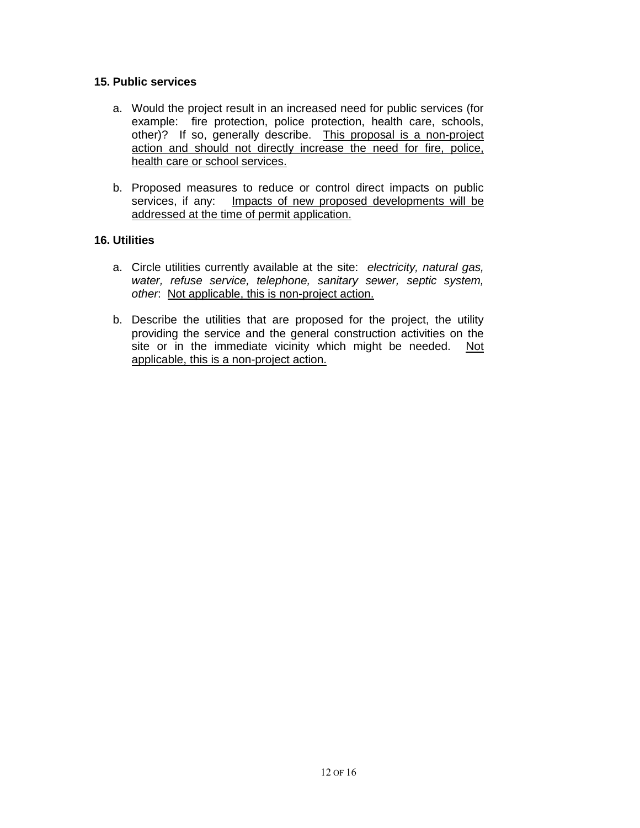#### **15. Public services**

- a. Would the project result in an increased need for public services (for example: fire protection, police protection, health care, schools, other)? If so, generally describe. This proposal is a non-project action and should not directly increase the need for fire, police, health care or school services.
- b. Proposed measures to reduce or control direct impacts on public services, if any: Impacts of new proposed developments will be addressed at the time of permit application.

# **16. Utilities**

- a. Circle utilities currently available at the site: *electricity, natural gas, water, refuse service, telephone, sanitary sewer, septic system, other*: Not applicable, this is non-project action.
- b. Describe the utilities that are proposed for the project, the utility providing the service and the general construction activities on the site or in the immediate vicinity which might be needed. Not applicable, this is a non-project action.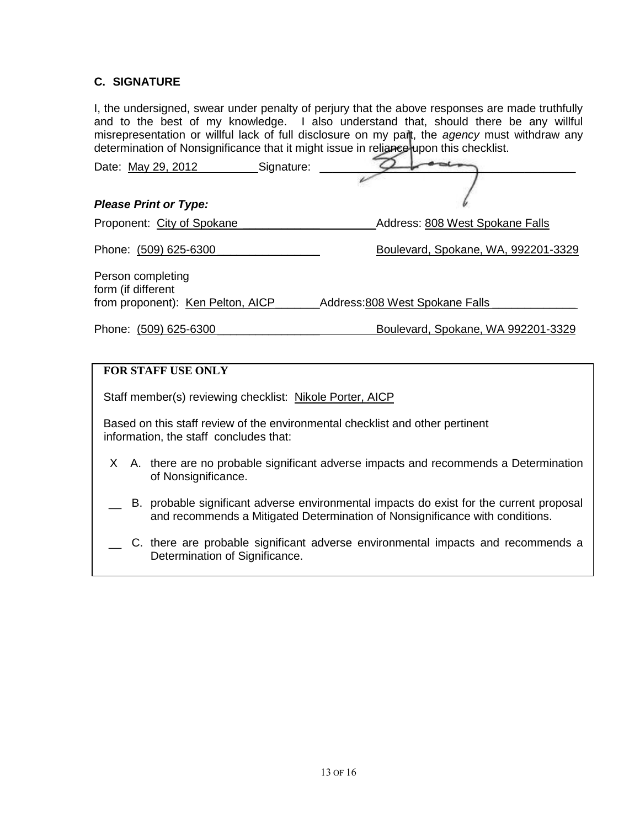# **C. SIGNATURE**

I, the undersigned, swear under penalty of perjury that the above responses are made truthfully and to the best of my knowledge. I also understand that, should there be any willful misrepresentation or willful lack of full disclosure on my part, the *agency* must withdraw any determination of Nonsignificance that it might issue in reliance upon this checklist.

| Date: May 29, 2012                                                                                                      | Signature: |                                                                                       |  |  |
|-------------------------------------------------------------------------------------------------------------------------|------------|---------------------------------------------------------------------------------------|--|--|
|                                                                                                                         |            |                                                                                       |  |  |
| <b>Please Print or Type:</b>                                                                                            |            |                                                                                       |  |  |
| Proponent: City of Spokane                                                                                              |            | Address: 808 West Spokane Falls                                                       |  |  |
| Phone: (509) 625-6300                                                                                                   |            | Boulevard, Spokane, WA, 992201-3329                                                   |  |  |
| Person completing<br>form (if different                                                                                 |            |                                                                                       |  |  |
| from proponent): Ken Pelton, AICP_                                                                                      |            | Address: 808 West Spokane Falls                                                       |  |  |
| Phone: (509) 625-6300                                                                                                   |            | Boulevard, Spokane, WA 992201-3329                                                    |  |  |
|                                                                                                                         |            |                                                                                       |  |  |
| <b>FOR STAFF USE ONLY</b>                                                                                               |            |                                                                                       |  |  |
| Staff member(s) reviewing checklist: Nikole Porter, AICP                                                                |            |                                                                                       |  |  |
| Based on this staff review of the environmental checklist and other pertinent<br>information, the staff concludes that: |            |                                                                                       |  |  |
| of Nonsignificance.                                                                                                     |            | X A. there are no probable significant adverse impacts and recommends a Determination |  |  |

- B. probable significant adverse environmental impacts do exist for the current proposal and recommends a Mitigated Determination of Nonsignificance with conditions.
- C. there are probable significant adverse environmental impacts and recommends a Determination of Significance.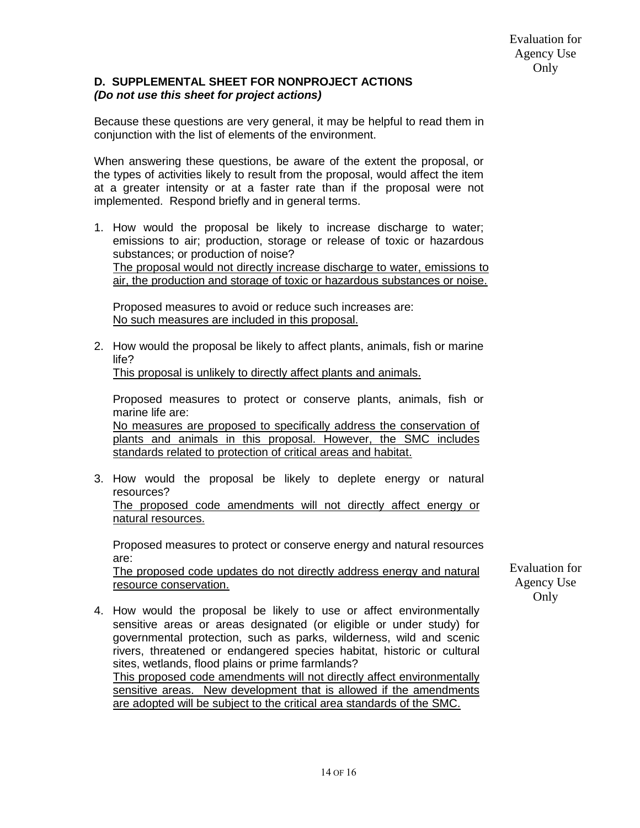#### **D. SUPPLEMENTAL SHEET FOR NONPROJECT ACTIONS** *(Do not use this sheet for project actions)*

Because these questions are very general, it may be helpful to read them in conjunction with the list of elements of the environment.

When answering these questions, be aware of the extent the proposal, or the types of activities likely to result from the proposal, would affect the item at a greater intensity or at a faster rate than if the proposal were not implemented. Respond briefly and in general terms.

1. How would the proposal be likely to increase discharge to water; emissions to air; production, storage or release of toxic or hazardous substances; or production of noise? The proposal would not directly increase discharge to water, emissions to air, the production and storage of toxic or hazardous substances or noise.

Proposed measures to avoid or reduce such increases are: No such measures are included in this proposal.

2. How would the proposal be likely to affect plants, animals, fish or marine life?

This proposal is unlikely to directly affect plants and animals.

Proposed measures to protect or conserve plants, animals, fish or marine life are:

No measures are proposed to specifically address the conservation of plants and animals in this proposal. However, the SMC includes standards related to protection of critical areas and habitat.

3. How would the proposal be likely to deplete energy or natural resources? The proposed code amendments will not directly affect energy or natural resources.

Proposed measures to protect or conserve energy and natural resources are:

The proposed code updates do not directly address energy and natural resource conservation.

Evaluation for Agency Use Only

4. How would the proposal be likely to use or affect environmentally sensitive areas or areas designated (or eligible or under study) for governmental protection, such as parks, wilderness, wild and scenic rivers, threatened or endangered species habitat, historic or cultural sites, wetlands, flood plains or prime farmlands? This proposed code amendments will not directly affect environmentally sensitive areas. New development that is allowed if the amendments are adopted will be subject to the critical area standards of the SMC.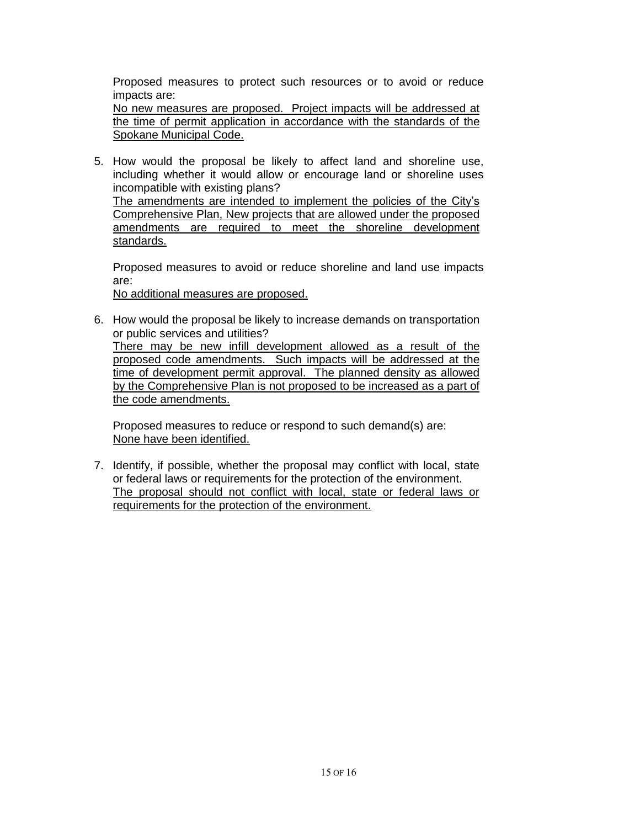Proposed measures to protect such resources or to avoid or reduce impacts are:

No new measures are proposed. Project impacts will be addressed at the time of permit application in accordance with the standards of the Spokane Municipal Code.

5. How would the proposal be likely to affect land and shoreline use, including whether it would allow or encourage land or shoreline uses incompatible with existing plans? The amendments are intended to implement the policies of the City's Comprehensive Plan, New projects that are allowed under the proposed amendments are required to meet the shoreline development

standards.

Proposed measures to avoid or reduce shoreline and land use impacts are:

No additional measures are proposed.

6. How would the proposal be likely to increase demands on transportation or public services and utilities? There may be new infill development allowed as a result of the proposed code amendments. Such impacts will be addressed at the time of development permit approval. The planned density as allowed by the Comprehensive Plan is not proposed to be increased as a part of the code amendments.

Proposed measures to reduce or respond to such demand(s) are: None have been identified.

7. Identify, if possible, whether the proposal may conflict with local, state or federal laws or requirements for the protection of the environment. The proposal should not conflict with local, state or federal laws or requirements for the protection of the environment.